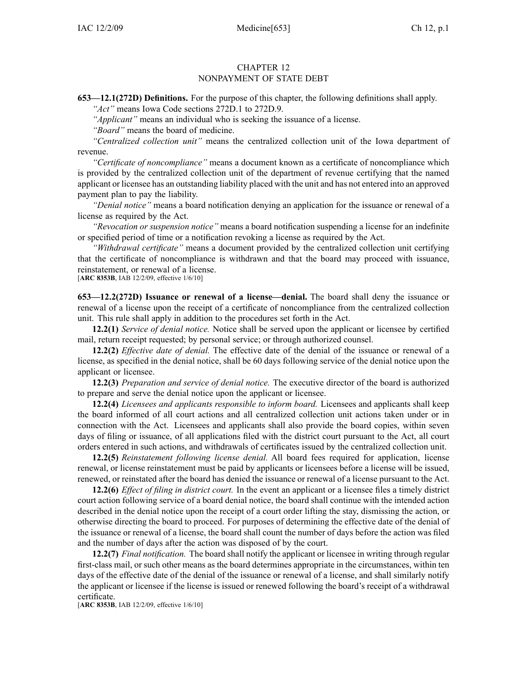## CHAPTER 12 NONPAYMENT OF STATE DEBT

**653—12.1(272D) Definitions.** For the purpose of this chapter, the following definitions shall apply.

*"Act"* means Iowa Code sections 272D.1 to 272D.9.

*"Applicant"* means an individual who is seeking the issuance of <sup>a</sup> license.

*"Board"* means the board of medicine.

*"Centralized collection unit"* means the centralized collection unit of the Iowa department of revenue.

*"Certificate of noncompliance"* means <sup>a</sup> document known as <sup>a</sup> certificate of noncompliance which is provided by the centralized collection unit of the department of revenue certifying that the named applicant or licensee has an outstanding liability placed with the unit and has not entered into an approved paymen<sup>t</sup> plan to pay the liability.

*"Denial notice"* means <sup>a</sup> board notification denying an application for the issuance or renewal of <sup>a</sup> license as required by the Act.

*"Revocation or suspension notice"* means <sup>a</sup> board notification suspending <sup>a</sup> license for an indefinite or specified period of time or <sup>a</sup> notification revoking <sup>a</sup> license as required by the Act.

*"Withdrawal certificate"* means <sup>a</sup> document provided by the centralized collection unit certifying that the certificate of noncompliance is withdrawn and that the board may proceed with issuance, reinstatement, or renewal of <sup>a</sup> license.

[**ARC 8353B**, IAB 12/2/09, effective 1/6/10]

**653—12.2(272D) Issuance or renewal of <sup>a</sup> license—denial.** The board shall deny the issuance or renewal of <sup>a</sup> license upon the receipt of <sup>a</sup> certificate of noncompliance from the centralized collection unit. This rule shall apply in addition to the procedures set forth in the Act.

**12.2(1)** *Service of denial notice.* Notice shall be served upon the applicant or licensee by certified mail, return receipt requested; by personal service; or through authorized counsel.

**12.2(2)** *Effective date of denial.* The effective date of the denial of the issuance or renewal of <sup>a</sup> license, as specified in the denial notice, shall be 60 days following service of the denial notice upon the applicant or licensee.

**12.2(3)** *Preparation and service of denial notice.* The executive director of the board is authorized to prepare and serve the denial notice upon the applicant or licensee.

**12.2(4)** *Licensees and applicants responsible to inform board.* Licensees and applicants shall keep the board informed of all court actions and all centralized collection unit actions taken under or in connection with the Act. Licensees and applicants shall also provide the board copies, within seven days of filing or issuance, of all applications filed with the district court pursuan<sup>t</sup> to the Act, all court orders entered in such actions, and withdrawals of certificates issued by the centralized collection unit.

**12.2(5)** *Reinstatement following license denial.* All board fees required for application, license renewal, or license reinstatement must be paid by applicants or licensees before <sup>a</sup> license will be issued, renewed, or reinstated after the board has denied the issuance or renewal of <sup>a</sup> license pursuan<sup>t</sup> to the Act.

**12.2(6)** *Effect of filing in district court.* In the event an applicant or <sup>a</sup> licensee files <sup>a</sup> timely district court action following service of <sup>a</sup> board denial notice, the board shall continue with the intended action described in the denial notice upon the receipt of <sup>a</sup> court order lifting the stay, dismissing the action, or otherwise directing the board to proceed. For purposes of determining the effective date of the denial of the issuance or renewal of <sup>a</sup> license, the board shall count the number of days before the action was filed and the number of days after the action was disposed of by the court.

**12.2(7)** *Final notification.* The board shall notify the applicant or licensee in writing through regular first-class mail, or such other means as the board determines appropriate in the circumstances, within ten days of the effective date of the denial of the issuance or renewal of <sup>a</sup> license, and shall similarly notify the applicant or licensee if the license is issued or renewed following the board's receipt of <sup>a</sup> withdrawal certificate.

[**ARC 8353B**, IAB 12/2/09, effective 1/6/10]